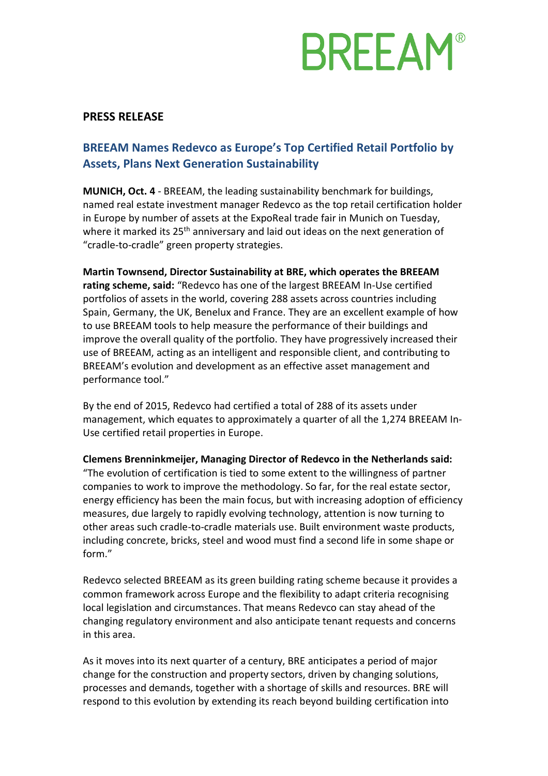# **BREEAM®**

### **PRESS RELEASE**

### **BREEAM Names Redevco as Europe's Top Certified Retail Portfolio by Assets, Plans Next Generation Sustainability**

**MUNICH, Oct. 4** - BREEAM, the leading sustainability benchmark for buildings, named real estate investment manager Redevco as the top retail certification holder in Europe by number of assets at the ExpoReal trade fair in Munich on Tuesday, where it marked its 25<sup>th</sup> anniversary and laid out ideas on the next generation of "cradle-to-cradle" green property strategies.

**Martin Townsend, Director Sustainability at BRE, which operates the BREEAM rating scheme, said:** "Redevco has one of the largest BREEAM In-Use certified portfolios of assets in the world, covering 288 assets across countries including Spain, Germany, the UK, Benelux and France. They are an excellent example of how to use BREEAM tools to help measure the performance of their buildings and improve the overall quality of the portfolio. They have progressively increased their use of BREEAM, acting as an intelligent and responsible client, and contributing to BREEAM's evolution and development as an effective asset management and performance tool."

By the end of 2015, Redevco had certified a total of 288 of its assets under management, which equates to approximately a quarter of all the 1,274 BREEAM In-Use certified retail properties in Europe.

**Clemens Brenninkmeijer, Managing Director of Redevco in the Netherlands said:** 

"The evolution of certification is tied to some extent to the willingness of partner companies to work to improve the methodology. So far, for the real estate sector, energy efficiency has been the main focus, but with increasing adoption of efficiency measures, due largely to rapidly evolving technology, attention is now turning to other areas such cradle-to-cradle materials use. Built environment waste products, including concrete, bricks, steel and wood must find a second life in some shape or form."

Redevco selected [BREEAM](http://www.breeam.org/) as its green building rating scheme because it provides a common framework across Europe and the flexibility to adapt criteria recognising local legislation and circumstances. That means Redevco can stay ahead of the changing regulatory environment and also anticipate tenant requests and concerns in this area.

As it moves into its next quarter of a century, BRE anticipates a period of major change for the construction and property sectors, driven by changing solutions, processes and demands, together with a shortage of skills and resources. BRE will respond to this evolution by extending its reach beyond building certification into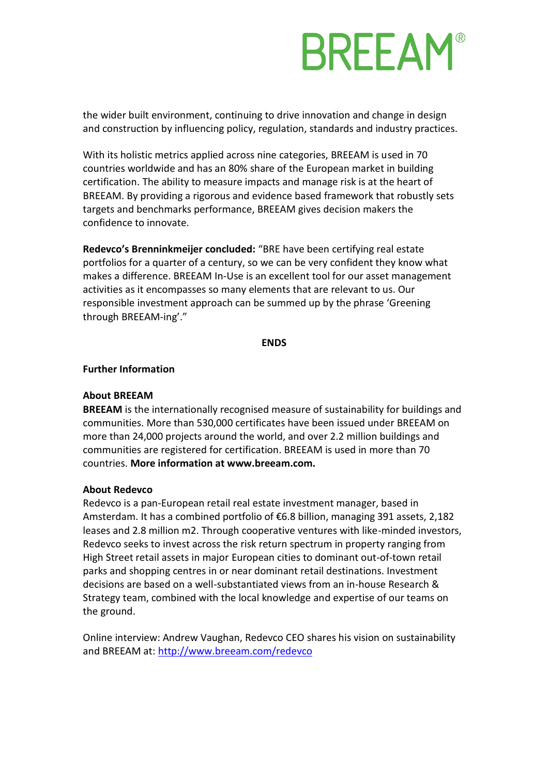# **BREEAM®**

the wider built environment, continuing to drive innovation and change in design and construction by influencing policy, regulation, standards and industry practices.

With its holistic metrics applied across nine categories, BREEAM is used in 70 countries worldwide and has an 80% share of the European market in building certification. The ability to measure impacts and manage risk is at the heart of BREEAM. By providing a rigorous and evidence based framework that robustly sets targets and benchmarks performance, BREEAM gives decision makers the confidence to innovate.

**Redevco's Brenninkmeijer concluded:** "BRE have been certifying real estate portfolios for a quarter of a century, so we can be very confident they know what makes a difference. BREEAM In-Use is an excellent tool for our asset management activities as it encompasses so many elements that are relevant to us. Our responsible investment approach can be summed up by the phrase 'Greening through BREEAM-ing'."

#### **ENDS**

#### **Further Information**

#### **About BREEAM**

**BREEAM** is the internationally recognised measure of sustainability for buildings and communities. More than 530,000 certificates have been issued under BREEAM on more than 24,000 projects around the world, and over 2.2 million buildings and communities are registered for certification. BREEAM is used in more than 70 countries. **More information at [www.breeam.com.](http://www.breeam.com/)**

#### **About Redevco**

Redevco is a pan-European retail real estate investment manager, based in Amsterdam. It has a combined portfolio of €6.8 billion, managing 391 assets, 2,182 leases and 2.8 million m2. Through cooperative ventures with like-minded investors, Redevco seeks to invest across the risk return spectrum in property ranging from High Street retail assets in major European cities to dominant out-of-town retail parks and shopping centres in or near dominant retail destinations. Investment decisions are based on a well-substantiated views from an in-house Research & Strategy team, combined with the local knowledge and expertise of our teams on the ground.

Online interview: Andrew Vaughan, Redevco CEO shares his vision on sustainability and BREEAM at:<http://www.breeam.com/redevco>